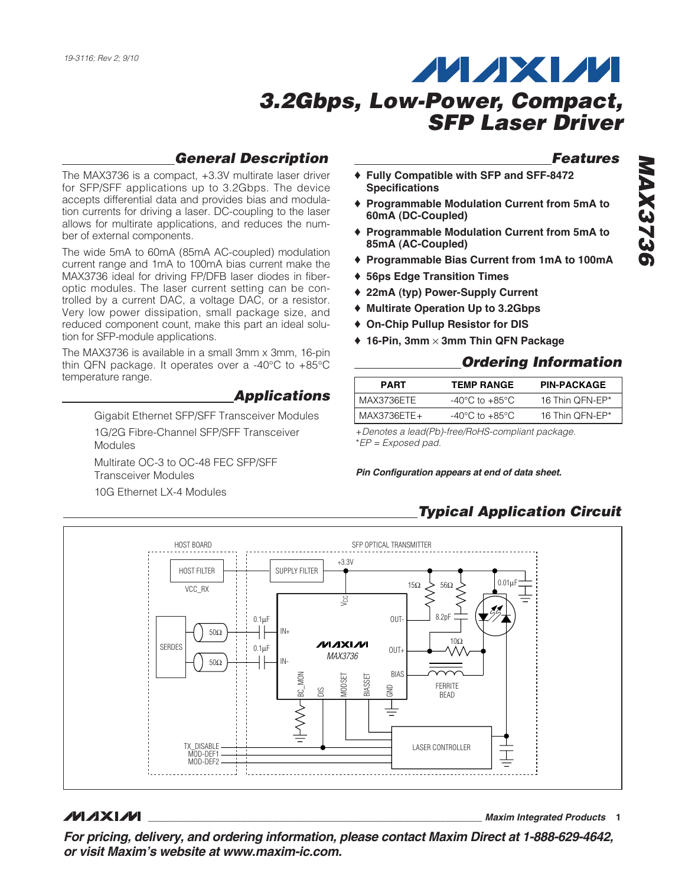### **General Description**

The MAX3736 is a compact, +3.3V multirate laser driver for SFP/SFF applications up to 3.2Gbps. The device accepts differential data and provides bias and modulation currents for driving a laser. DC-coupling to the laser allows for multirate applications, and reduces the number of external components.

The wide 5mA to 60mA (85mA AC-coupled) modulation current range and 1mA to 100mA bias current make the MAX3736 ideal for driving FP/DFB laser diodes in fiberoptic modules. The laser current setting can be controlled by a current DAC, a voltage DAC, or a resistor. Very low power dissipation, small package size, and reduced component count, make this part an ideal solution for SFP-module applications.

The MAX3736 is available in a small 3mm x 3mm, 16-pin thin QFN package. It operates over a -40°C to +85°C temperature range.

**Applications**

Gigabit Ethernet SFP/SFF Transceiver Modules 1G/2G Fibre-Channel SFP/SFF Transceiver Modules Multirate OC-3 to OC-48 FEC SFP/SFF Transceiver Modules 10G Ethernet LX-4 Modules

### **Features**

- ♦ **Fully Compatible with SFP and SFF-8472 Specifications**
- ♦ **Programmable Modulation Current from 5mA to 60mA (DC-Coupled)**
- ♦ **Programmable Modulation Current from 5mA to 85mA (AC-Coupled)**
- ♦ **Programmable Bias Current from 1mA to 100mA**
- ♦ **56ps Edge Transition Times**
- ♦ **22mA (typ) Power-Supply Current**
- ♦ **Multirate Operation Up to 3.2Gbps**
- ♦ **On-Chip Pullup Resistor for DIS**
- ♦ **16-Pin, 3mm** × **3mm Thin QFN Package**

### **Ordering Information**

| <b>PART</b> | <b>TEMP RANGE</b>                  | <b>PIN-PACKAGE</b> |
|-------------|------------------------------------|--------------------|
| MAX3736ETE  | -40°C to +85°C                     | 16 Thin OFN-EP*    |
| MAX3736ETE+ | $-40^{\circ}$ C to $+85^{\circ}$ C | 16 Thin OFN-EP*    |

+Denotes a lead(Pb)-free/RoHS-compliant package. \*EP = Exposed pad.

#### **Pin Configuration appears at end of data sheet.**

# **Typical Application Circuit**



### **MAXIM**

**\_\_\_\_\_\_\_\_\_\_\_\_\_\_\_\_\_\_\_\_\_\_\_\_\_\_\_\_\_\_\_\_\_\_\_\_\_\_\_\_\_\_\_\_\_\_\_\_\_\_\_\_\_\_\_\_\_\_\_\_\_\_\_\_ Maxim Integrated Products 1**

**For pricing, delivery, and ordering information, please contact Maxim Direct at 1-888-629-4642, or visit Maxim's website at www.maxim-ic.com.**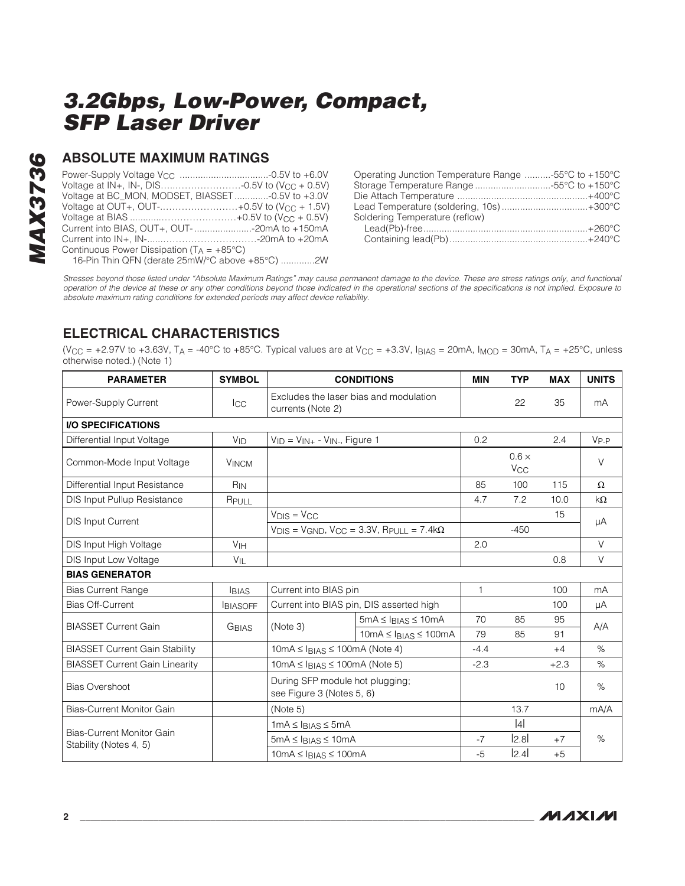# **MAX3736 MAX3736**

### **ABSOLUTE MAXIMUM RATINGS**

| Voltage at IN+, IN-, DIS-0.5V to (V <sub>CC</sub> + 0.5V) |  |
|-----------------------------------------------------------|--|
| Voltage at BC_MON, MODSET, BIASSET-0.5V to +3.0V          |  |
| Voltage at OUT+, OUT-+0.5V to (V <sub>CC</sub> + 1.5V)    |  |
|                                                           |  |
| Current into BIAS, OUT+, OUT--20mA to +150mA              |  |
|                                                           |  |
| Continuous Power Dissipation ( $T_A = +85^{\circ}C$ )     |  |
| 16-Pin Thin QFN (derate 25mW/°C above +85°C) 2W           |  |

| Operating Junction Temperature Range -55°C to +150°C |  |
|------------------------------------------------------|--|
| Storage Temperature Range 55°C to +150°C             |  |
|                                                      |  |
| Lead Temperature (soldering, 10s)+300°C              |  |
| Soldering Temperature (reflow)                       |  |
|                                                      |  |
|                                                      |  |

Stresses beyond those listed under "Absolute Maximum Ratings" may cause permanent damage to the device. These are stress ratings only, and functional operation of the device at these or any other conditions beyond those indicated in the operational sections of the specifications is not implied. Exposure to absolute maximum rating conditions for extended periods may affect device reliability.

### **ELECTRICAL CHARACTERISTICS**

(V<sub>CC</sub> = +2.97V to +3.63V, T<sub>A</sub> = -40°C to +85°C. Typical values are at V<sub>CC</sub> = +3.3V, I<sub>BIAS</sub> = 20mA, I<sub>MOD</sub> = 30mA, T<sub>A</sub> = +25°C, unless otherwise noted.) (Note 1)

| <b>PARAMETER</b>                                           | <b>SYMBOL</b>   | <b>CONDITIONS</b>                                                                                |                                                                     | <b>MIN</b> | <b>TYP</b>                            | <b>MAX</b> | <b>UNITS</b> |  |
|------------------------------------------------------------|-----------------|--------------------------------------------------------------------------------------------------|---------------------------------------------------------------------|------------|---------------------------------------|------------|--------------|--|
| Power-Supply Current                                       | <b>I</b> CC     | Excludes the laser bias and modulation<br>currents (Note 2)                                      |                                                                     |            | 22                                    | 35         | mA           |  |
| <b>I/O SPECIFICATIONS</b>                                  |                 |                                                                                                  |                                                                     |            |                                       |            |              |  |
| Differential Input Voltage                                 | $V_{ID}$        | $V_{ID} = V_{IN+} - V_{IN-}$ , Figure 1                                                          |                                                                     | 0.2        |                                       | 2.4        | $V_{P-P}$    |  |
| Common-Mode Input Voltage                                  | <b>VINCM</b>    |                                                                                                  |                                                                     |            | $0.6 \times$<br><b>V<sub>CC</sub></b> |            | V            |  |
| Differential Input Resistance                              | $R_{IN}$        |                                                                                                  |                                                                     | 85         | 100                                   | 115        | $\Omega$     |  |
| DIS Input Pullup Resistance                                | RPULL           |                                                                                                  |                                                                     | 4.7        | 7.2                                   | 10.0       | kΩ           |  |
|                                                            |                 | $V_{DIS} = V_{CC}$                                                                               |                                                                     |            |                                       | 15         |              |  |
| <b>DIS Input Current</b>                                   |                 |                                                                                                  | $V_{DIS}$ = $V_{GND}$ , $V_{CC}$ = 3.3V, $R_{PULL}$ = 7.4k $\Omega$ |            | $-450$                                |            | μA           |  |
| DIS Input High Voltage                                     | V <sub>IH</sub> |                                                                                                  |                                                                     | 2.0        |                                       |            | V            |  |
| DIS Input Low Voltage                                      | $V_{\parallel}$ |                                                                                                  |                                                                     |            |                                       | 0.8        | V            |  |
| <b>BIAS GENERATOR</b>                                      |                 |                                                                                                  |                                                                     |            |                                       |            |              |  |
| <b>Bias Current Range</b>                                  | <b>BIAS</b>     | Current into BIAS pin                                                                            |                                                                     | 1          |                                       | 100        | mA           |  |
| <b>Bias Off-Current</b>                                    | <b>BIASOFF</b>  | Current into BIAS pin, DIS asserted high                                                         |                                                                     |            |                                       | 100        | μA           |  |
|                                                            |                 | (Note 3)                                                                                         | $5mA \leq I_{BIAS} \leq 10mA$                                       | 70         | 85                                    | 95         |              |  |
| <b>BIASSET Current Gain</b>                                | <b>GBIAS</b>    |                                                                                                  | $10mA \leq I_{BIAS} \leq 100mA$                                     | 79         | 85                                    | 91         | A/A          |  |
| <b>BIASSET Current Gain Stability</b>                      |                 | $10mA \leq I_{BIAS} \leq 100mA$ (Note 4)                                                         |                                                                     | $-4.4$     |                                       | $+4$       | $\%$         |  |
| <b>BIASSET Current Gain Linearity</b>                      |                 | $10mA \leq I_{BIAS} \leq 100mA$ (Note 5)                                                         |                                                                     | $-2.3$     |                                       | $+2.3$     | $\%$         |  |
| <b>Bias Overshoot</b>                                      |                 | During SFP module hot plugging;<br>see Figure 3 (Notes 5, 6)                                     |                                                                     |            |                                       | 10         | $\%$         |  |
| Bias-Current Monitor Gain                                  |                 | (Note 5)                                                                                         |                                                                     |            | 13.7                                  |            | mA/A         |  |
|                                                            |                 | $1mA \leq I_{BIAS} \leq 5mA$<br>$5mA \leq I_{BIAS} \leq 10mA$<br>$10mA \leq I_{BIAS} \leq 100mA$ |                                                                     |            | 4                                     |            |              |  |
| <b>Bias-Current Monitor Gain</b><br>Stability (Notes 4, 5) |                 |                                                                                                  |                                                                     | $-7$       | 2.8                                   | $+7$       | $\%$         |  |
|                                                            |                 |                                                                                                  |                                                                     | $-5$       | 2.4                                   | $+5$       |              |  |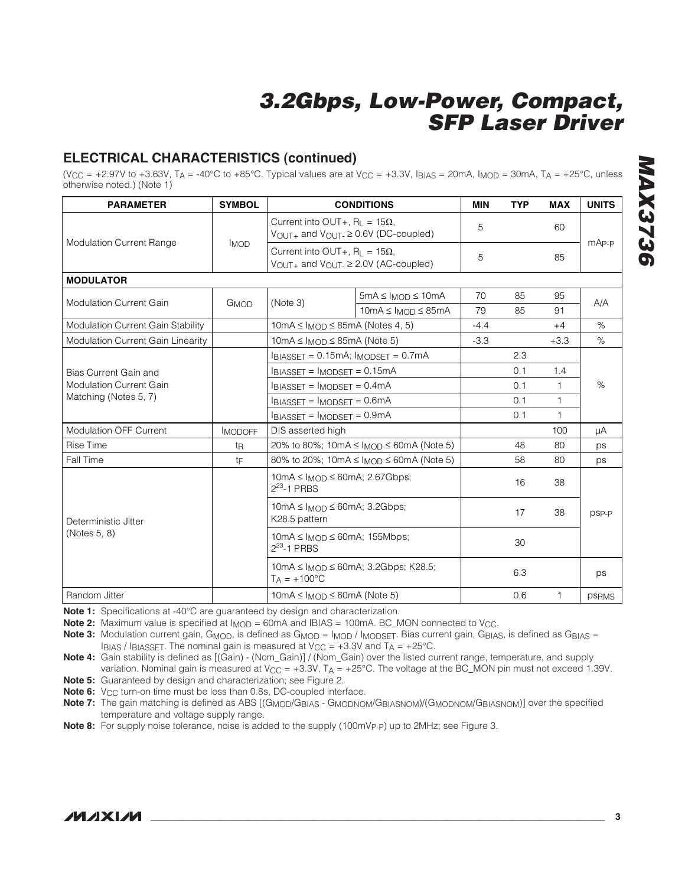### **ELECTRICAL CHARACTERISTICS (continued)**

(V<sub>CC</sub> = +2.97V to +3.63V, T<sub>A</sub> = -40°C to +85°C. Typical values are at V<sub>CC</sub> = +3.3V, I<sub>BIAS</sub> = 20mA, I<sub>MOD</sub> = 30mA, T<sub>A</sub> = +25°C, unless otherwise noted.) (Note 1)

| <b>PARAMETER</b>                                                       | <b>SYMBOL</b>  |                                                                                                         | <b>CONDITIONS</b>                                                      | <b>MIN</b> | <b>TYP</b> | <b>MAX</b>   | <b>UNITS</b> |
|------------------------------------------------------------------------|----------------|---------------------------------------------------------------------------------------------------------|------------------------------------------------------------------------|------------|------------|--------------|--------------|
|                                                                        |                | Current into OUT+, $R_1 = 15\Omega$ ,<br>$V_{\text{OUT+}}$ and $V_{\text{OUT-}} \geq 0.6V$ (DC-coupled) |                                                                        | 5          |            | 60           |              |
| <b>Modulation Current Range</b>                                        | <b>IMOD</b>    | Current into OUT+, $R_L = 15\Omega$ ,<br>$V_{\text{OUT+}}$ and $V_{\text{OUT-}} \geq 2.0V$ (AC-coupled) |                                                                        | 5          |            | 85           | $mAp-p$      |
| <b>MODULATOR</b>                                                       |                |                                                                                                         |                                                                        |            |            |              |              |
| <b>Modulation Current Gain</b>                                         | GMOD           |                                                                                                         | $5mA \leq l_{MOD} \leq 10mA$                                           | 70         | 85         | 95           |              |
| Modulation Current Gain Stability<br>Modulation Current Gain Linearity |                | (Note 3)                                                                                                | $10mA \leq I_{MOD} \leq 85mA$                                          | 79         | 85         | 91           | A/A          |
|                                                                        |                | $10mA \leq MOD \leq 85mA$ (Notes 4, 5)                                                                  |                                                                        | $-4.4$     |            | $+4$         | $\%$         |
|                                                                        |                | $10mA \leq MOD \leq 85mA$ (Note 5)                                                                      |                                                                        | $-3.3$     |            | $+3.3$       | $\%$         |
|                                                                        |                | $I_{BIASSET} = 0.15mA$ ; $I_{MODSET} = 0.7mA$                                                           |                                                                        |            | 2.3        |              |              |
| Bias Current Gain and                                                  |                | $I_{BIASSET} = I_{MODSET} = 0.15mA$<br>$I_{BIASSET} = I_{MODSET} = 0.4mA$                               |                                                                        |            | 0.1        | 1.4          | %            |
| <b>Modulation Current Gain</b>                                         |                |                                                                                                         |                                                                        |            | 0.1        | 1            |              |
| Matching (Notes 5, 7)                                                  |                | $I_{BIASSET} = I_{MODSET} = 0.6mA$                                                                      |                                                                        |            | 0.1        | 1            |              |
|                                                                        |                | $I_{BIASSET}$ = $I_{MODSET}$ = 0.9mA                                                                    |                                                                        |            | 0.1        | 1            |              |
| <b>Modulation OFF Current</b>                                          | <b>IMODOFF</b> | DIS asserted high                                                                                       |                                                                        |            |            | 100          | μA           |
| <b>Rise Time</b>                                                       | tŖ             |                                                                                                         | 20% to 80%; 10mA ≤ $l_{MOD}$ ≤ 60mA (Note 5)                           |            | 48         | 80           | ps           |
| Fall Time                                                              | tF             |                                                                                                         | 80% to 20%; 10mA $\leq$ I <sub>MOD</sub> $\leq$ 60mA (Note 5)          |            | 58         | 80           | ps           |
|                                                                        |                | $10mA \leq I_{MOD} \leq 60mA$ ; 2.67Gbps;<br>$2^{23} - 1$ PRBS                                          |                                                                        |            | 16         | 38           |              |
| Deterministic Jitter                                                   |                | $10mA \leq MOD \leq 60mA$ ; 3.2Gbps;<br>K28.5 pattern                                                   |                                                                        |            | 17         | 38           | psp-p        |
| (Notes 5, 8)                                                           |                | $10mA \leq I_{MOD} \leq 60mA$ ; 155Mbps;<br>$2^{23}$ -1 PRBS                                            |                                                                        |            | 30         |              |              |
|                                                                        |                | $T_A = +100^{\circ}C$                                                                                   | $10 \text{mA} \leq I_{\text{MOD}} \leq 60 \text{mA}$ ; 3.2Gbps; K28.5; |            | 6.3        |              | ps           |
| Random Jitter                                                          |                | $10mA \leq MOD \leq 60mA$ (Note 5)                                                                      |                                                                        |            | 0.6        | $\mathbf{1}$ | <b>PSRMS</b> |

**Note 1:** Specifications at -40°C are quaranteed by design and characterization.

**Note 2:** Maximum value is specified at  $I_{\text{MOD}} = 60$ mA and IBIAS = 100mA. BC\_MON connected to V<sub>CC</sub>.

Note 3: Modulation current gain, G<sub>MOD</sub>, is defined as G<sub>MOD</sub> = I<sub>MOD</sub> / I<sub>MODSET</sub>. Bias current gain, G<sub>BIAS</sub>, is defined as G<sub>BIAS</sub> = IBIAS / IBIASSET. The nominal gain is measured at  $V_{CC} = +3.3V$  and  $T_A = +25°C$ .

**Note 4:** Gain stability is defined as [(Gain) - (Nom\_Gain)] / (Nom\_Gain) over the listed current range, temperature, and supply variation. Nominal gain is measured at  $V_{CC} = +3.3V$ ,  $T_A = +25^{\circ}C$ . The voltage at the BC\_MON pin must not exceed 1.39V.

**Note 5:** Guaranteed by design and characterization; see Figure 2.

**Note 6:** V<sub>CC</sub> turn-on time must be less than 0.8s, DC-coupled interface.

**Note 7:** The gain matching is defined as ABS [(GMOD/GBIAS - GMODNOM/GBIASNOM)/(GMODNOM/GBIASNOM)] over the specified temperature and voltage supply range.

**Note 8:** For supply noise tolerance, noise is added to the supply (100mVp<sub>-P</sub>) up to 2MHz; see Figure 3.

### **MAXIM \_\_\_\_\_\_\_\_\_\_\_\_\_\_\_\_\_\_\_\_\_\_\_\_\_\_\_\_\_\_\_\_\_\_\_\_\_\_\_\_\_\_\_\_\_\_\_\_\_\_\_\_\_\_\_\_\_\_\_\_\_\_\_\_\_\_\_\_\_\_\_\_\_\_\_\_\_\_\_\_\_\_\_\_\_\_\_ 3**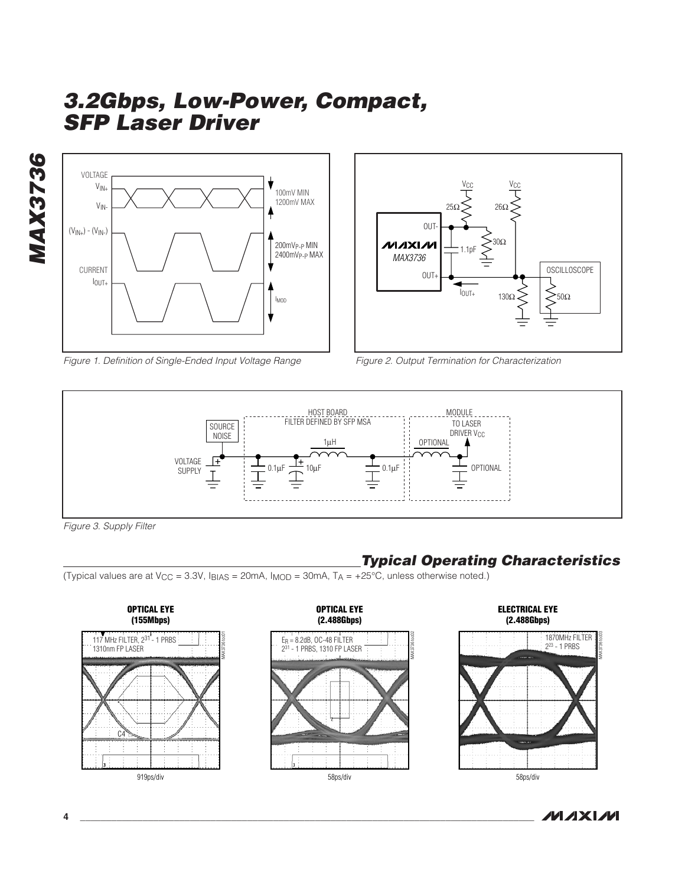**MAX3736 MAX3736**



Figure 1. Definition of Single-Ended Input Voltage Range



Figure 2. Output Termination for Characterization



Figure 3. Supply Filter

# **Typical Operating Characteristics**

(Typical values are at  $V_{CC} = 3.3V$ , IBIAS = 20mA, IMOD = 30mA,  $T_A = +25^{\circ}C$ , unless otherwise noted.)

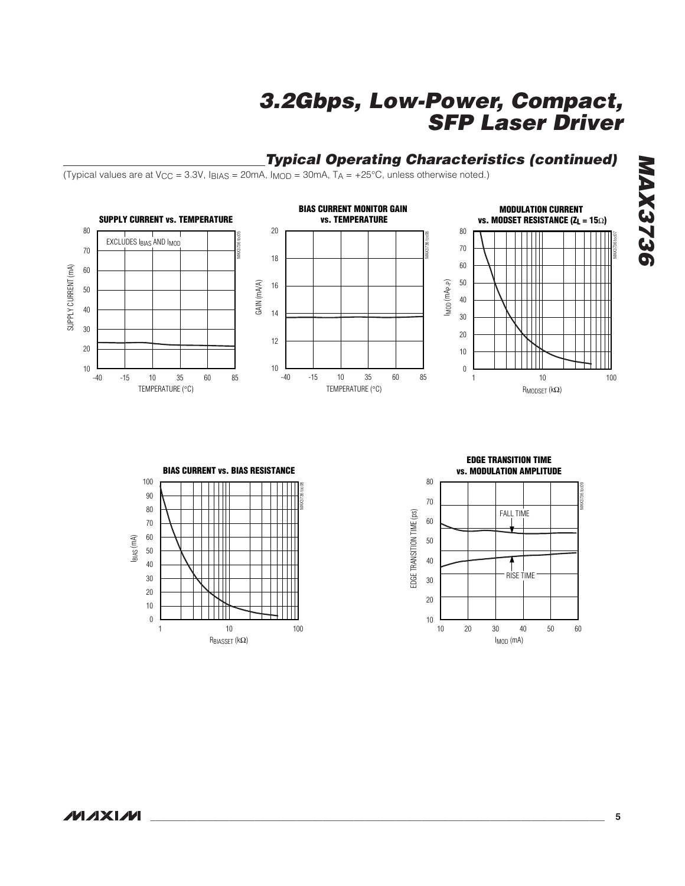### **Typical Operating Characteristics (continued)**

(Typical values are at  $V_{CC} = 3.3V$ ,  $I_{BIAS} = 20mA$ ,  $I_{MOD} = 30mA$ ,  $T_A = +25°C$ , unless otherwise noted.)







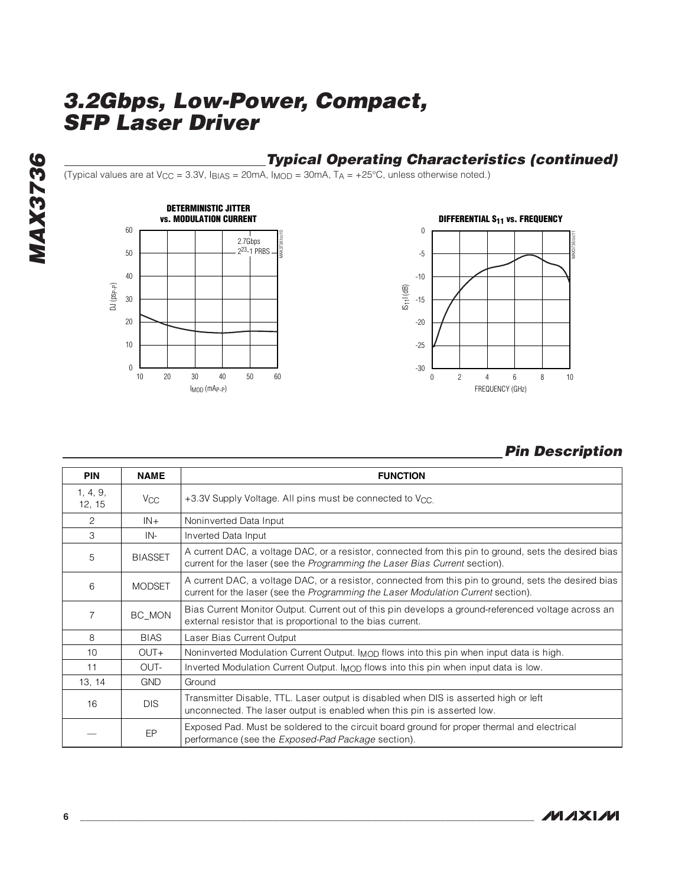## **Typical Operating Characteristics (continued)**

(Typical values are at  $V_{CC} = 3.3V$ ,  $I_{BIAS} = 20mA$ ,  $I_{MOD} = 30mA$ ,  $T_A = +25°C$ , unless otherwise noted.)





## **Pin Description**

| <b>PIN</b>         | <b>NAME</b>           | <b>FUNCTION</b>                                                                                                                                                                            |
|--------------------|-----------------------|--------------------------------------------------------------------------------------------------------------------------------------------------------------------------------------------|
| 1, 4, 9,<br>12, 15 | <b>V<sub>CC</sub></b> | +3.3V Supply Voltage. All pins must be connected to V <sub>CC</sub> .                                                                                                                      |
| 2                  | $IN +$                | Noninverted Data Input                                                                                                                                                                     |
| 3                  | IN-                   | Inverted Data Input                                                                                                                                                                        |
| 5                  | <b>BIASSET</b>        | A current DAC, a voltage DAC, or a resistor, connected from this pin to ground, sets the desired bias<br>current for the laser (see the Programming the Laser Bias Current section).       |
| 6                  | <b>MODSET</b>         | A current DAC, a voltage DAC, or a resistor, connected from this pin to ground, sets the desired bias<br>current for the laser (see the Programming the Laser Modulation Current section). |
| 7                  | BC MON                | Bias Current Monitor Output. Current out of this pin develops a ground-referenced voltage across an<br>external resistor that is proportional to the bias current.                         |
| 8                  | <b>BIAS</b>           | Laser Bias Current Output                                                                                                                                                                  |
| 10                 | $OUT+$                | Noninverted Modulation Current Output. I <sub>MOD</sub> flows into this pin when input data is high.                                                                                       |
| 11                 | OUT-                  | Inverted Modulation Current Output. I <sub>MOD</sub> flows into this pin when input data is low.                                                                                           |
| 13, 14             | <b>GND</b>            | Ground                                                                                                                                                                                     |
| 16                 | <b>DIS</b>            | Transmitter Disable, TTL. Laser output is disabled when DIS is asserted high or left<br>unconnected. The laser output is enabled when this pin is asserted low.                            |
|                    | EP                    | Exposed Pad. Must be soldered to the circuit board ground for proper thermal and electrical<br>performance (see the <i>Exposed-Pad Package</i> section).                                   |

**MAX3736**

**MAX3736**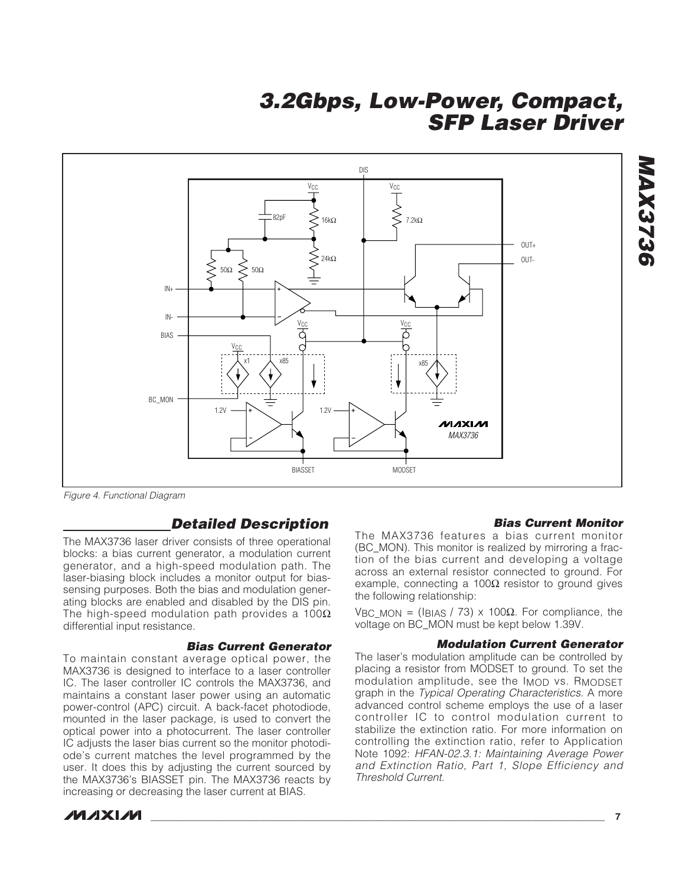

Figure 4. Functional Diagram

### **Detailed Description**

The MAX3736 laser driver consists of three operational blocks: a bias current generator, a modulation current generator, and a high-speed modulation path. The laser-biasing block includes a monitor output for biassensing purposes. Both the bias and modulation generating blocks are enabled and disabled by the DIS pin. The high-speed modulation path provides a  $100\Omega$ differential input resistance.

### **Bias Current Generator**

To maintain constant average optical power, the MAX3736 is designed to interface to a laser controller IC. The laser controller IC controls the MAX3736, and maintains a constant laser power using an automatic power-control (APC) circuit. A back-facet photodiode, mounted in the laser package, is used to convert the optical power into a photocurrent. The laser controller IC adjusts the laser bias current so the monitor photodiode's current matches the level programmed by the user. It does this by adjusting the current sourced by the MAX3736's BIASSET pin. The MAX3736 reacts by increasing or decreasing the laser current at BIAS.

(BC\_MON). This monitor is realized by mirroring a fraction of the bias current and developing a voltage across an external resistor connected to ground. For example, connecting a 100 $\Omega$  resistor to ground gives the following relationship:

The MAX3736 features a bias current monitor

VBC MON = (IBIAS / 73) x 100Ω. For compliance, the voltage on BC\_MON must be kept below 1.39V.

#### **Modulation Current Generator**

**Bias Current Monitor**

**MAX3736**

MAX3736

The laser's modulation amplitude can be controlled by placing a resistor from MODSET to ground. To set the modulation amplitude, see the I<sub>MOD</sub> vs. R<sub>MODSET</sub> graph in the Typical Operating Characteristics. A more advanced control scheme employs the use of a laser controller IC to control modulation current to stabilize the extinction ratio. For more information on controlling the extinction ratio, refer to Application Note 1092: HFAN-02.3.1: Maintaining Average Power and Extinction Ratio, Part 1, Slope Efficiency and Threshold Current.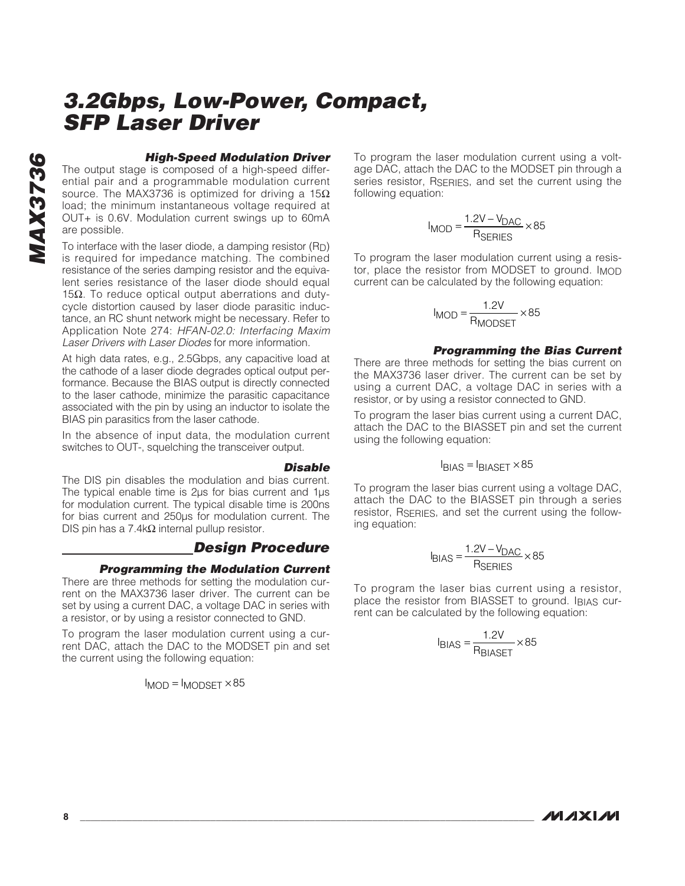# **MAX3736 MAX3736**

### **High-Speed Modulation Driver**

The output stage is composed of a high-speed differential pair and a programmable modulation current source. The MAX3736 is optimized for driving a  $15\Omega$ load; the minimum instantaneous voltage required at OUT+ is 0.6V. Modulation current swings up to 60mA are possible.

To interface with the laser diode, a damping resistor (RD) is required for impedance matching. The combined resistance of the series damping resistor and the equivalent series resistance of the laser diode should equal 15Ω. To reduce optical output aberrations and dutycycle distortion caused by laser diode parasitic inductance, an RC shunt network might be necessary. Refer to Application Note 274: HFAN-02.0: Interfacing Maxim Laser Drivers with Laser Diodes for more information.

At high data rates, e.g., 2.5Gbps, any capacitive load at the cathode of a laser diode degrades optical output performance. Because the BIAS output is directly connected to the laser cathode, minimize the parasitic capacitance associated with the pin by using an inductor to isolate the BIAS pin parasitics from the laser cathode.

In the absence of input data, the modulation current switches to OUT-, squelching the transceiver output.

#### **Disable**

The DIS pin disables the modulation and bias current. The typical enable time is 2ps for bias current and 1ps for modulation current. The typical disable time is 200ns for bias current and 250µs for modulation current. The DIS pin has a 7.4kΩ internal pullup resistor.

### **Design Procedure**

### **Programming the Modulation Current**

There are three methods for setting the modulation current on the MAX3736 laser driver. The current can be set by using a current DAC, a voltage DAC in series with a resistor, or by using a resistor connected to GND.

To program the laser modulation current using a current DAC, attach the DAC to the MODSET pin and set the current using the following equation:

 $I_{MOD} = I_{MODSET} \times 85$ 

To program the laser modulation current using a voltage DAC, attach the DAC to the MODSET pin through a series resistor, RSERIES, and set the current using the following equation:

$$
I_{\text{MOD}} = \frac{1.2V - V_{\text{DAC}}}{R_{\text{SERIES}}} \times 85
$$

To program the laser modulation current using a resistor, place the resistor from MODSET to ground. IMOD current can be calculated by the following equation:

$$
I_{\text{MOD}} = \frac{1.2V}{R_{\text{MODSET}}} \times 85
$$

#### **Programming the Bias Current**

There are three methods for setting the bias current on the MAX3736 laser driver. The current can be set by using a current DAC, a voltage DAC in series with a resistor, or by using a resistor connected to GND.

To program the laser bias current using a current DAC, attach the DAC to the BIASSET pin and set the current using the following equation:

$$
I_{\text{BIAS}} = I_{\text{BIASET}} \times 85
$$

To program the laser bias current using a voltage DAC, attach the DAC to the BIASSET pin through a series resistor, RSERIES, and set the current using the following equation:

$$
I_{\text{BIAS}} = \frac{1.2V - V_{\text{DAC}}}{R_{\text{SERIES}}} \times 85
$$

To program the laser bias current using a resistor, place the resistor from BIASSET to ground. IBIAS current can be calculated by the following equation:

$$
I_{\text{BIAS}} = \frac{1.2 \text{V}}{R_{\text{BIASET}}} \times 85
$$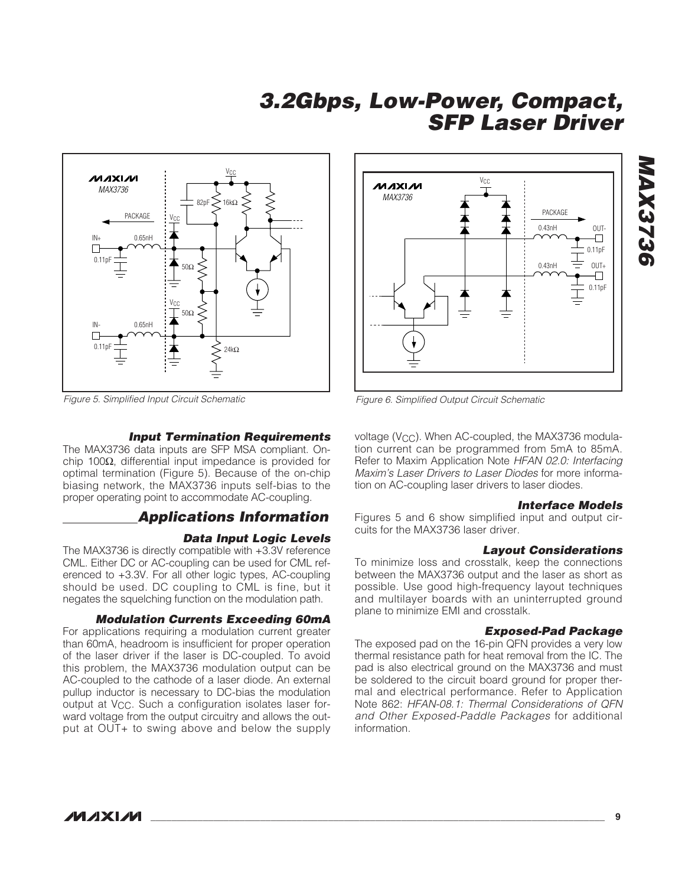

Figure 5. Simplified Input Circuit Schematic

#### **Input Termination Requirements**

The MAX3736 data inputs are SFP MSA compliant. Onchip 100Ω, differential input impedance is provided for optimal termination (Figure 5). Because of the on-chip biasing network, the MAX3736 inputs self-bias to the proper operating point to accommodate AC-coupling.

### **Applications Information**

### **Data Input Logic Levels**

The MAX3736 is directly compatible with +3.3V reference CML. Either DC or AC-coupling can be used for CML referenced to +3.3V. For all other logic types, AC-coupling should be used. DC coupling to CML is fine, but it negates the squelching function on the modulation path.

#### **Modulation Currents Exceeding 60mA**

For applications requiring a modulation current greater than 60mA, headroom is insufficient for proper operation of the laser driver if the laser is DC-coupled. To avoid this problem, the MAX3736 modulation output can be AC-coupled to the cathode of a laser diode. An external pullup inductor is necessary to DC-bias the modulation output at V<sub>CC</sub>. Such a configuration isolates laser forward voltage from the output circuitry and allows the output at OUT+ to swing above and below the supply



Figure 6. Simplified Output Circuit Schematic

voltage (V<sub>CC</sub>). When AC-coupled, the MAX3736 modulation current can be programmed from 5mA to 85mA. Refer to Maxim Application Note HFAN 02.0: Interfacing Maxim's Laser Drivers to Laser Diodes for more information on AC-coupling laser drivers to laser diodes.

#### **Interface Models**

Figures 5 and 6 show simplified input and output circuits for the MAX3736 laser driver.

#### **Layout Considerations**

To minimize loss and crosstalk, keep the connections between the MAX3736 output and the laser as short as possible. Use good high-frequency layout techniques and multilayer boards with an uninterrupted ground plane to minimize EMI and crosstalk.

#### **Exposed-Pad Package**

The exposed pad on the 16-pin QFN provides a very low thermal resistance path for heat removal from the IC. The pad is also electrical ground on the MAX3736 and must be soldered to the circuit board ground for proper thermal and electrical performance. Refer to Application Note 862: HFAN-08.1: Thermal Considerations of QFN and Other Exposed-Paddle Packages for additional information.

# **MAX3736** MAX3736

**MAXIM**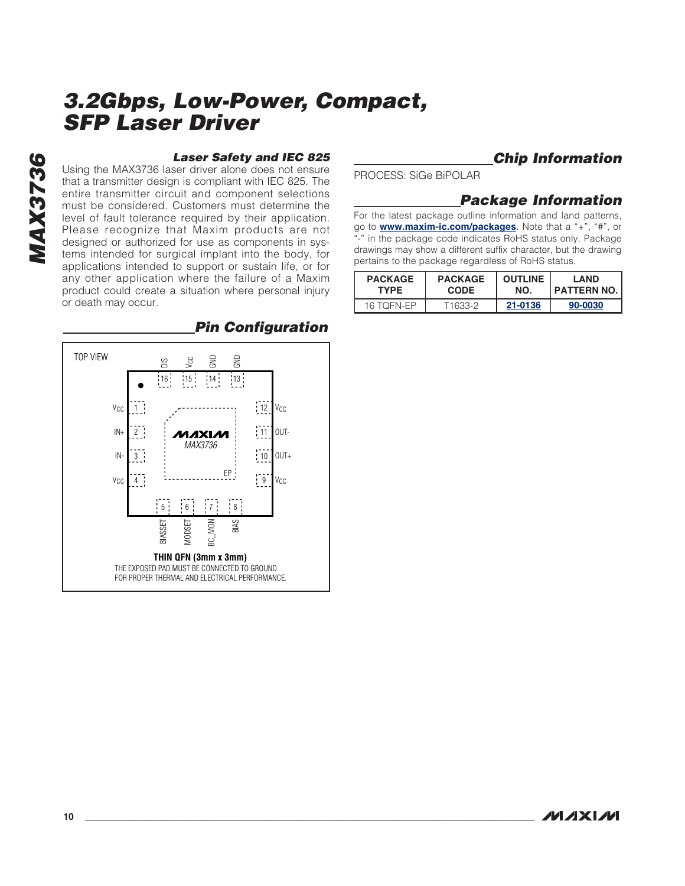**MAX3736 MAX3736**

#### **Laser Safety and IEC 825**

Using the MAX3736 laser driver alone does not ensure that a transmitter design is compliant with IEC 825. The entire transmitter circuit and component selections must be considered. Customers must determine the level of fault tolerance required by their application. Please recognize that Maxim products are not designed or authorized for use as components in systems intended for surgical implant into the body, for applications intended to support or sustain life, or for any other application where the failure of a Maxim product could create a situation where personal injury or death may occur.



## **Pin Configuration**

**Chip Information**

PROCESS: SiGe BiPOLAR

### **Package Information**

For the latest package outline information and land patterns, go to **www.maxim-ic.com/packages**. Note that a "+", "#", or "-" in the package code indicates RoHS status only. Package drawings may show a different suffix character, but the drawing pertains to the package regardless of RoHS status.

| <b>PACKAGE</b> | <b>PACKAGE</b> | <b>OUTLINE</b> | <b>LAND</b>   |
|----------------|----------------|----------------|---------------|
| <b>TYPE</b>    | <b>CODE</b>    | NO.            | I PATTERN NO. |
| 16 TOFN-EP     | T1633-2        | 21-0136        | 90-0030       |